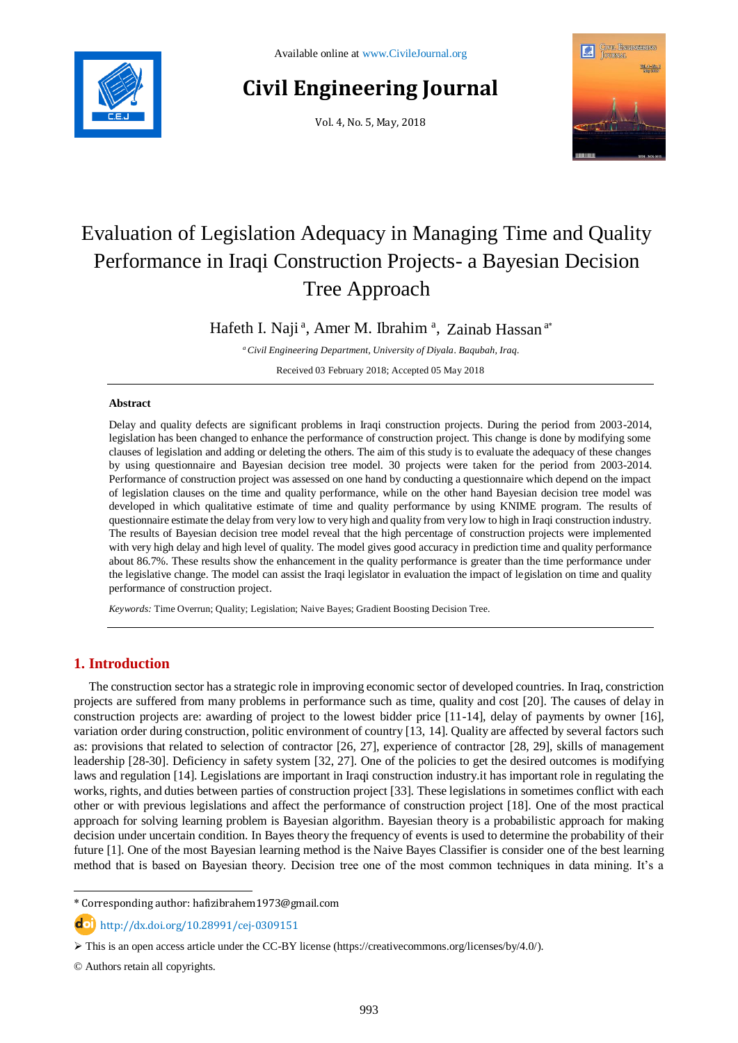

# **Civil Engineering Journal**

Vol. 4, No. 5, May, 2018



# Evaluation of Legislation Adequacy in Managing Time and Quality Performance in Iraqi Construction Projects- a Bayesian Decision Tree Approach

Hafeth I. Naji<sup>a</sup>, Amer M. Ibrahim<sup>a</sup>, Zainab Hassan<sup>a\*</sup>

*<sup>a</sup>Civil Engineering Department, University of Diyala. Baqubah, Iraq.*

Received 03 February 2018; Accepted 05 May 2018

### **Abstract**

Delay and quality defects are significant problems in Iraqi construction projects. During the period from 2003-2014, legislation has been changed to enhance the performance of construction project. This change is done by modifying some clauses of legislation and adding or deleting the others. The aim of this study is to evaluate the adequacy of these changes by using questionnaire and Bayesian decision tree model. 30 projects were taken for the period from 2003-2014. Performance of construction project was assessed on one hand by conducting a questionnaire which depend on the impact of legislation clauses on the time and quality performance, while on the other hand Bayesian decision tree model was developed in which qualitative estimate of time and quality performance by using KNIME program. The results of questionnaire estimate the delay from very low to very high and quality from very low to high in Iraqi construction industry. The results of Bayesian decision tree model reveal that the high percentage of construction projects were implemented with very high delay and high level of quality. The model gives good accuracy in prediction time and quality performance about 86.7%. These results show the enhancement in the quality performance is greater than the time performance under the legislative change. The model can assist the Iraqi legislator in evaluation the impact of legislation on time and quality performance of construction project.

*Keywords:* Time Overrun; Quality; Legislation; Naive Bayes; Gradient Boosting Decision Tree.

## **1. Introduction**

The construction sector has a strategic role in improving economic sector of developed countries. In Iraq, constriction projects are suffered from many problems in performance such as time, quality and cost [20]. The causes of delay in construction projects are: awarding of project to the lowest bidder price [11-14], delay of payments by owner [16], variation order during construction, politic environment of country [13, 14]. Quality are affected by several factors such as: provisions that related to selection of contractor [26, 27], experience of contractor [28, 29], skills of management leadership [28-30]. Deficiency in safety system [32, 27]. One of the policies to get the desired outcomes is modifying laws and regulation [14]. Legislations are important in Iraqi construction industry.it has important role in regulating the works, rights, and duties between parties of construction project [33]. These legislations in sometimes conflict with each other or with previous legislations and affect the performance of construction project [18]. One of the most practical approach for solving learning problem is Bayesian algorithm. Bayesian theory is a probabilistic approach for making decision under uncertain condition. In Bayes theory the frequency of events is used to determine the probability of their future [1]. One of the most Bayesian learning method is the Naive Bayes Classifier is consider one of the best learning method that is based on Bayesian theory. Decision tree one of the most common techniques in data mining. It's a

http://dx.doi.org/10.28991/cej-0309151

l

<sup>\*</sup> Corresponding author: hafizibrahem1973@gmail.com

 $\triangleright$  This is an open access article under the CC-BY license [\(https://creativecommons.org/licenses/by/4.0/\)](https://creativecommons.org/licenses/by/4.0/).

<sup>©</sup> Authors retain all copyrights.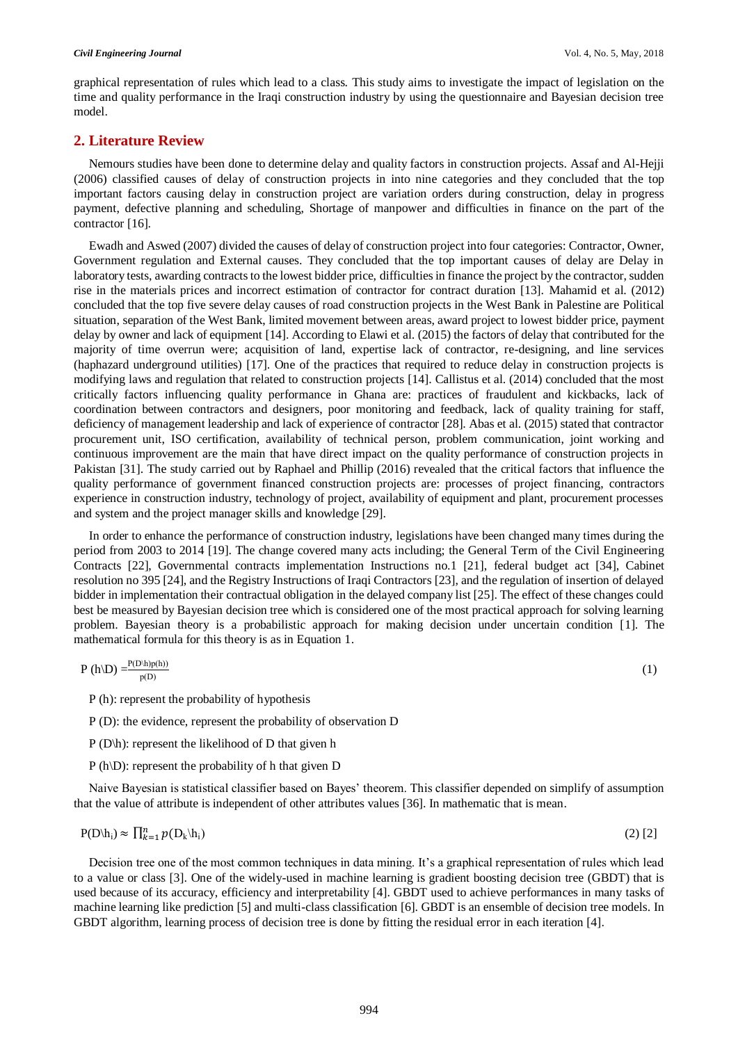(1)

graphical representation of rules which lead to a class. This study aims to investigate the impact of legislation on the time and quality performance in the Iraqi construction industry by using the questionnaire and Bayesian decision tree model.

## **2. Literature Review**

Nemours studies have been done to determine delay and quality factors in construction projects. Assaf and Al-Hejji (2006) classified causes of delay of construction projects in into nine categories and they concluded that the top important factors causing delay in construction project are variation orders during construction, delay in progress payment, defective planning and scheduling, Shortage of manpower and difficulties in finance on the part of the contractor [16].

Ewadh and Aswed (2007) divided the causes of delay of construction project into four categories: Contractor, Owner, Government regulation and External causes. They concluded that the top important causes of delay are Delay in laboratory tests, awarding contracts to the lowest bidder price, difficulties in finance the project by the contractor, sudden rise in the materials prices and incorrect estimation of contractor for contract duration [13]. Mahamid et al. (2012) concluded that the top five severe delay causes of road construction projects in the West Bank in Palestine are Political situation, separation of the West Bank, limited movement between areas, award project to lowest bidder price, payment delay by owner and lack of equipment [14]. According to Elawi et al. (2015) the factors of delay that contributed for the majority of time overrun were; acquisition of land, expertise lack of contractor, re-designing, and line services (haphazard underground utilities) [17]. One of the practices that required to reduce delay in construction projects is modifying laws and regulation that related to construction projects [14]. Callistus et al. (2014) concluded that the most critically factors influencing quality performance in Ghana are: practices of fraudulent and kickbacks, lack of coordination between contractors and designers, poor monitoring and feedback, lack of quality training for staff, deficiency of management leadership and lack of experience of contractor [28]. Abas et al. (2015) stated that contractor procurement unit, ISO certification, availability of technical person, problem communication, joint working and continuous improvement are the main that have direct impact on the quality performance of construction projects in Pakistan [31]. The study carried out by Raphael and Phillip (2016) revealed that the critical factors that influence the quality performance of government financed construction projects are: processes of project financing, contractors experience in construction industry, technology of project, availability of equipment and plant, procurement processes and system and the project manager skills and knowledge [29].

In order to enhance the performance of construction industry, legislations have been changed many times during the period from 2003 to 2014 [19]. The change covered many acts including; the General Term of the Civil Engineering Contracts [22], Governmental contracts implementation Instructions no.1 [21], federal budget act [34], Cabinet resolution no 395 [24], and the Registry Instructions of Iraqi Contractors [23], and the regulation of insertion of delayed bidder in implementation their contractual obligation in the delayed company list [25]. The effect of these changes could best be measured by Bayesian decision tree which is considered one of the most practical approach for solving learning problem. Bayesian theory is a probabilistic approach for making decision under uncertain condition [1]. The mathematical formula for this theory is as in Equation 1.

$$
P(h \setminus D) = \frac{P(D \setminus h)p(h))}{p(D)}
$$

P (h): represent the probability of hypothesis

- P (D): the evidence, represent the probability of observation D
- P (D\h): represent the likelihood of D that given h
- P (h\D): represent the probability of h that given D

Naive Bayesian is statistical classifier based on Bayes' theorem. This classifier depended on simplify of assumption that the value of attribute is independent of other attributes values [36]. In mathematic that is mean.

$$
P(D|h_i) \approx \prod_{k=1}^n p(D_k|h_i)
$$
 (2) [2]

Decision tree one of the most common techniques in data mining. It's a graphical representation of rules which lead to a value or class [3]. One of the widely-used in machine learning is gradient boosting decision tree (GBDT) that is used because of its accuracy, efficiency and interpretability [4]. GBDT used to achieve performances in many tasks of machine learning like prediction [5] and multi-class classification [6]. GBDT is an ensemble of decision tree models. In GBDT algorithm, learning process of decision tree is done by fitting the residual error in each iteration [4].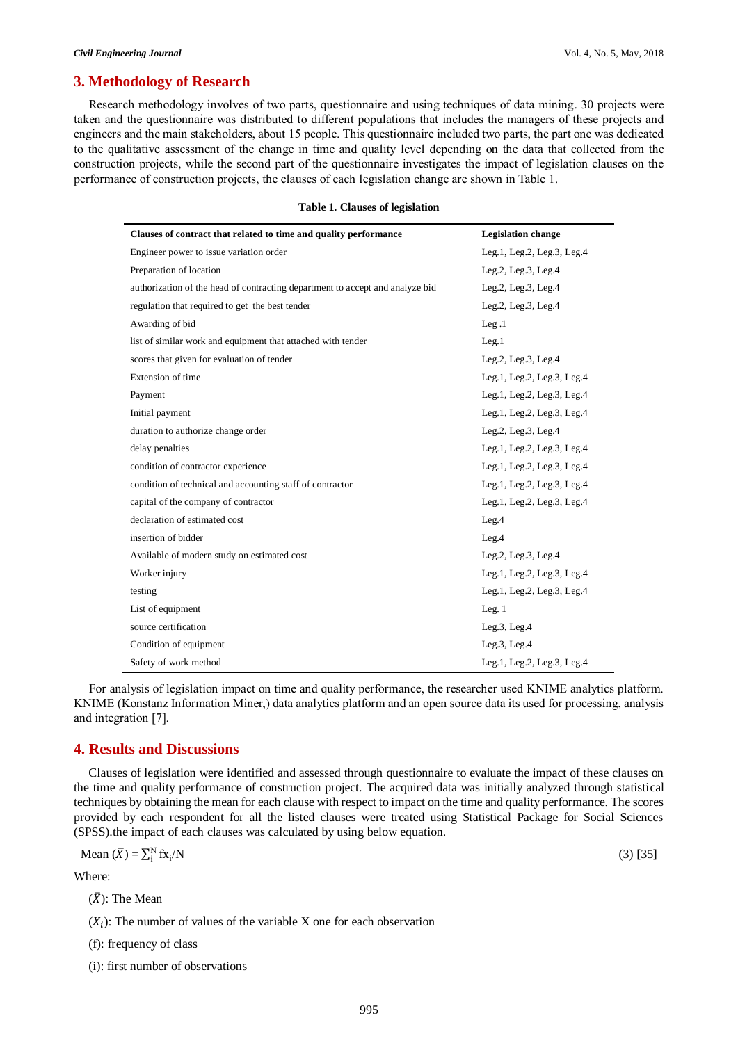## **3. Methodology of Research**

Research methodology involves of two parts, questionnaire and using techniques of data mining. 30 projects were taken and the questionnaire was distributed to different populations that includes the managers of these projects and engineers and the main stakeholders, about 15 people. This questionnaire included two parts, the part one was dedicated to the qualitative assessment of the change in time and quality level depending on the data that collected from the construction projects, while the second part of the questionnaire investigates the impact of legislation clauses on the performance of construction projects, the clauses of each legislation change are shown in Table 1.

| Clauses of contract that related to time and quality performance              | <b>Legislation change</b>  |
|-------------------------------------------------------------------------------|----------------------------|
| Engineer power to issue variation order                                       | Leg.1, Leg.2, Leg.3, Leg.4 |
| Preparation of location                                                       | Leg.2, Leg.3, Leg.4        |
| authorization of the head of contracting department to accept and analyze bid | Leg.2, Leg.3, Leg.4        |
| regulation that required to get the best tender                               | Leg.2, Leg.3, Leg.4        |
| Awarding of bid                                                               | Leg.1                      |
| list of similar work and equipment that attached with tender                  | Leg.1                      |
| scores that given for evaluation of tender                                    | Leg.2, Leg.3, Leg.4        |
| Extension of time                                                             | Leg.1, Leg.2, Leg.3, Leg.4 |
| Payment                                                                       | Leg.1, Leg.2, Leg.3, Leg.4 |
| Initial payment                                                               | Leg.1, Leg.2, Leg.3, Leg.4 |
| duration to authorize change order                                            | Leg.2, Leg.3, Leg.4        |
| delay penalties                                                               | Leg.1, Leg.2, Leg.3, Leg.4 |
| condition of contractor experience                                            | Leg.1, Leg.2, Leg.3, Leg.4 |
| condition of technical and accounting staff of contractor                     | Leg.1, Leg.2, Leg.3, Leg.4 |
| capital of the company of contractor                                          | Leg.1, Leg.2, Leg.3, Leg.4 |
| declaration of estimated cost                                                 | Leg.4                      |
| insertion of bidder                                                           | Leg.4                      |
| Available of modern study on estimated cost                                   | Leg.2, Leg.3, Leg.4        |
| Worker injury                                                                 | Leg.1, Leg.2, Leg.3, Leg.4 |
| testing                                                                       | Leg.1, Leg.2, Leg.3, Leg.4 |
| List of equipment                                                             | Leg.1                      |
| source certification                                                          | Leg.3, Leg.4               |
| Condition of equipment                                                        | Leg.3, Leg.4               |
| Safety of work method                                                         | Leg.1, Leg.2, Leg.3, Leg.4 |

#### **Table 1. Clauses of legislation**

For analysis of legislation impact on time and quality performance, the researcher used KNIME analytics platform. KNIME (Konstanz Information Miner,) data analytics platform and an open source data its used for processing, analysis and integration [7].

#### **4. Results and Discussions**

Clauses of legislation were identified and assessed through questionnaire to evaluate the impact of these clauses on the time and quality performance of construction project. The acquired data was initially analyzed through statistical techniques by obtaining the mean for each clause with respect to impact on the time and quality performance. The scores provided by each respondent for all the listed clauses were treated using Statistical Package for Social Sciences (SPSS).the impact of each clauses was calculated by using below equation.

Mean 
$$
(\overline{X}) = \sum_{i=1}^{N} f_{X_i} / N
$$

Where:

$$
(\bar{X})
$$
: The Mean

 $(X_i)$ : The number of values of the variable X one for each observation

(f): frequency of class

(i): first number of observations

 $/N$  (3) [35]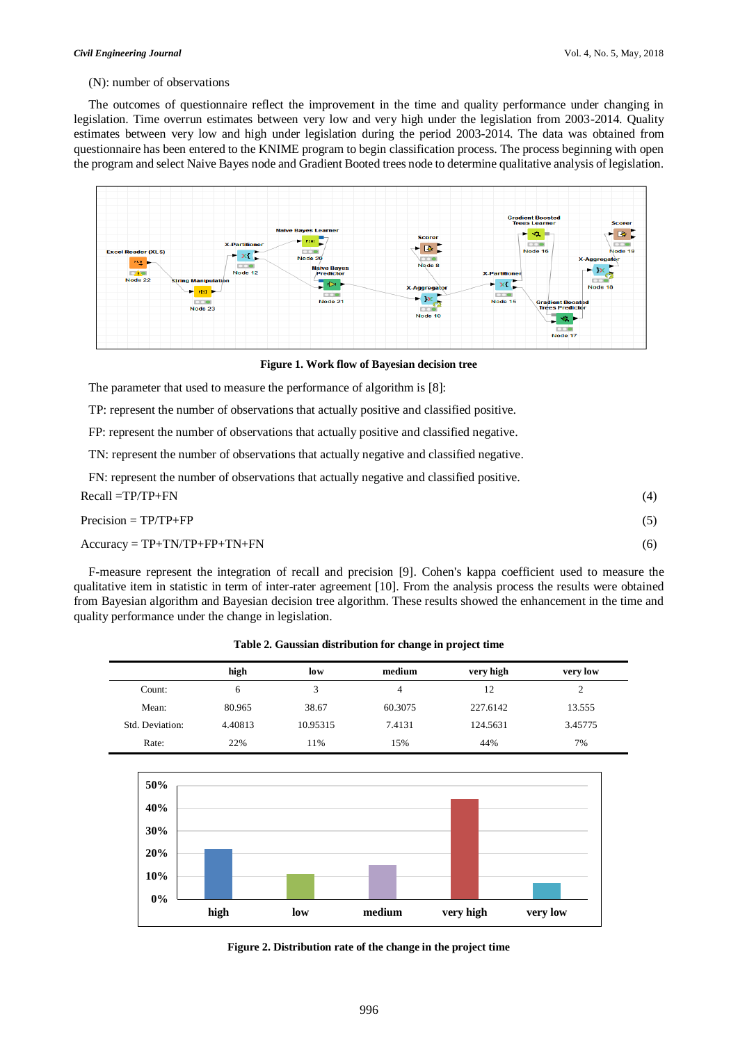#### (N): number of observations

The outcomes of questionnaire reflect the improvement in the time and quality performance under changing in legislation. Time overrun estimates between very low and very high under the legislation from 2003-2014. Quality estimates between very low and high under legislation during the period 2003-2014. The data was obtained from questionnaire has been entered to the KNIME program to begin classification process. The process beginning with open the program and select Naive Bayes node and Gradient Booted trees node to determine qualitative analysis of legislation.



**Figure 1. Work flow of Bayesian decision tree**

The parameter that used to measure the performance of algorithm is [8]:

TP: represent the number of observations that actually positive and classified positive.

FP: represent the number of observations that actually positive and classified negative.

TN: represent the number of observations that actually negative and classified negative.

FN: represent the number of observations that actually negative and classified positive.

| Recall =TP/TP+FN                       | (4) |
|----------------------------------------|-----|
| $Precision = TP/TP + FP$               | (5) |
| $Accuracy = TP + TN/TP + FP + TN + FN$ | (6) |

F-measure represent the integration of recall and precision [9]. Cohen's kappa coefficient used to measure the qualitative item in statistic in term of inter-rater agreement [10]. From the analysis process the results were obtained from Bayesian algorithm and Bayesian decision tree algorithm. These results showed the enhancement in the time and quality performance under the change in legislation.

|                 | high    | low      | medium  | very high | very low |
|-----------------|---------|----------|---------|-----------|----------|
| Count:          | 6       |          | 4       | 12        | ∠        |
| Mean:           | 80.965  | 38.67    | 60.3075 | 227.6142  | 13.555   |
| Std. Deviation: | 4.40813 | 10.95315 | 7.4131  | 124.5631  | 3.45775  |
| Rate:           | 22%     | 1%       | 15%     | 44%       | 7%       |

**Table 2. Gaussian distribution for change in project time**



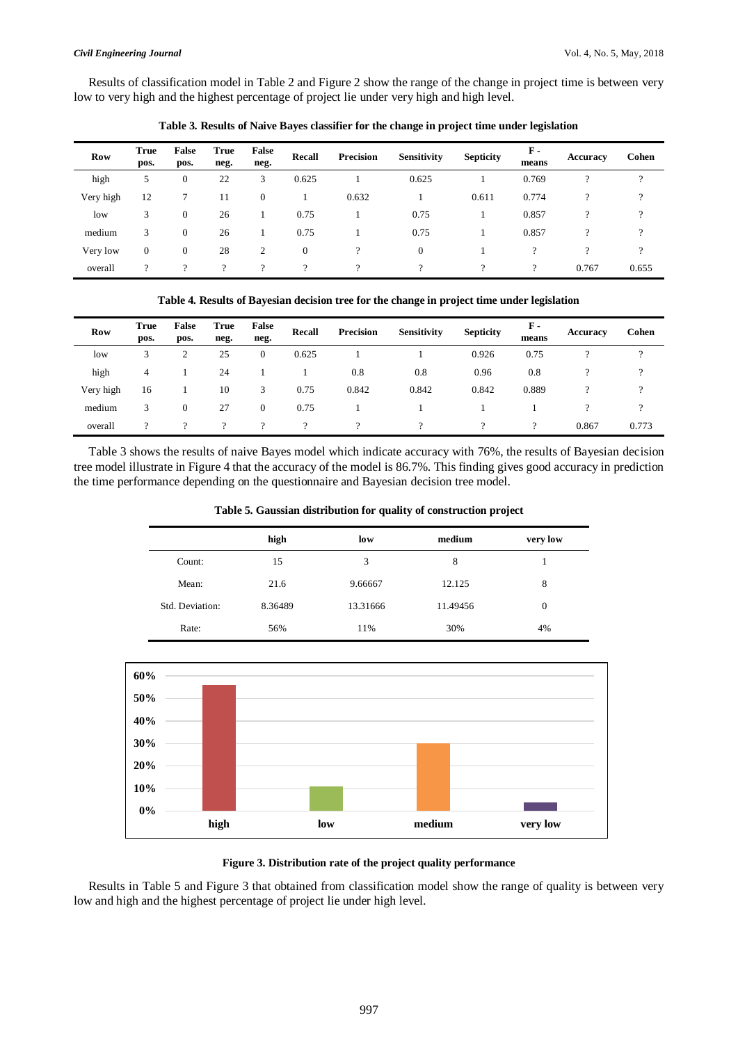Results of classification model in Table 2 and Figure 2 show the range of the change in project time is between very low to very high and the highest percentage of project lie under very high and high level.

| <b>Row</b> | <b>True</b><br>pos.      | False<br>pos. | <b>True</b><br>neg. | False<br>neg. | Recall       | <b>Precision</b> | <b>Sensitivity</b> | <b>Septicity</b> | $\mathbf{F}$ -<br>means | Accuracy | Cohen         |
|------------|--------------------------|---------------|---------------------|---------------|--------------|------------------|--------------------|------------------|-------------------------|----------|---------------|
| high       | 5                        | $\mathbf{0}$  | 22                  | 3             | 0.625        |                  | 0.625              |                  | 0.769                   | $\Omega$ | 9             |
| Very high  | 12                       | 7             | 11                  | $\theta$      |              | 0.632            |                    | 0.611            | 0.774                   |          | 9             |
| low        | 3                        | $\mathbf{0}$  | 26                  |               | 0.75         |                  | 0.75               |                  | 0.857                   | $\Omega$ | $\mathcal{P}$ |
| medium     | 3                        | $\mathbf{0}$  | 26                  |               | 0.75         |                  | 0.75               |                  | 0.857                   | $\gamma$ | 9             |
| Very low   | $\mathbf{0}$             | $\mathbf{0}$  | 28                  | 2             | $\mathbf{0}$ |                  | $\overline{0}$     |                  | $\gamma$                |          | 9             |
| overall    | $\overline{\mathcal{L}}$ | 9             | ?                   |               | $\gamma$     | $\Omega$         | ?                  | $\Omega$         | ?                       | 0.767    | 0.655         |

**Table 3. Results of Naive Bayes classifier for the change in project time under legislation**

|  | Table 4. Results of Bayesian decision tree for the change in project time under legislation |  |  |  |  |
|--|---------------------------------------------------------------------------------------------|--|--|--|--|
|  |                                                                                             |  |  |  |  |

| <b>Row</b> | <b>True</b><br>pos. | False<br>pos. | <b>True</b><br>neg. | False<br>neg. | <b>Recall</b> | Precision | <b>Sensitivity</b> | <b>Septicity</b> | $\mathbf{F}$ -<br>means | <b>Accuracy</b> | Cohen    |
|------------|---------------------|---------------|---------------------|---------------|---------------|-----------|--------------------|------------------|-------------------------|-----------------|----------|
| low        | 3                   | 2             | 25                  | $\mathbf{0}$  | 0.625         |           |                    | 0.926            | 0.75                    |                 | $\Omega$ |
| high       | 4                   |               | 24                  |               |               | 0.8       | 0.8                | 0.96             | 0.8                     |                 |          |
| Very high  | 16                  |               | 10                  | 3             | 0.75          | 0.842     | 0.842              | 0.842            | 0.889                   |                 |          |
| medium     | 3                   | 0             | 27                  | $\mathbf{0}$  | 0.75          |           |                    |                  |                         |                 |          |
| overall    | ?                   | ?             | $\Omega$            | $\Omega$      |               | ີ         | $\Omega$           |                  | ?                       | 0.867           | 0.773    |

Table 3 shows the results of naive Bayes model which indicate accuracy with 76%, the results of Bayesian decision tree model illustrate in Figure 4 that the accuracy of the model is 86.7%. This finding gives good accuracy in prediction the time performance depending on the questionnaire and Bayesian decision tree model.

**Table 5. Gaussian distribution for quality of construction project**

|                 | high    | low      | medium   | very low       |
|-----------------|---------|----------|----------|----------------|
| Count:          | 15      | 3        | 8        |                |
| Mean:           | 21.6    | 9.66667  | 12.125   | 8              |
| Std. Deviation: | 8.36489 | 13.31666 | 11.49456 | $\overline{0}$ |
| Rate:           | 56%     | 11%      | 30%      | 4%             |





Results in Table 5 and Figure 3 that obtained from classification model show the range of quality is between very low and high and the highest percentage of project lie under high level.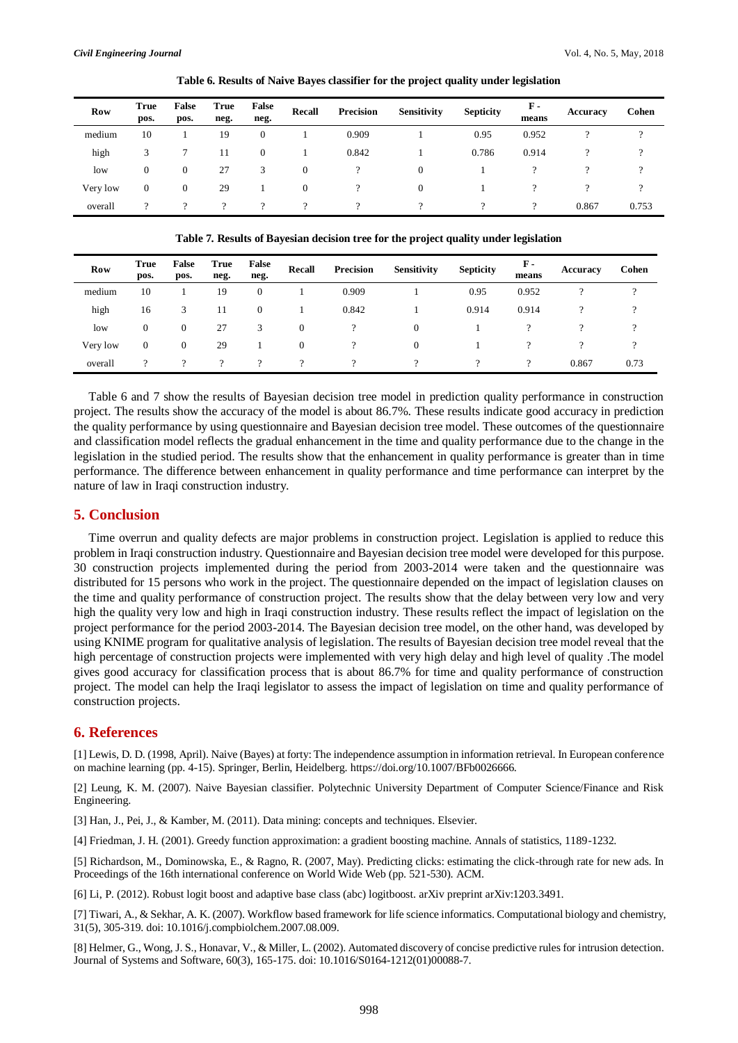| <b>Row</b> | <b>True</b><br>pos. | False<br>pos. | True<br>neg. | False<br>neg. | <b>Recall</b> | Precision | Sensitivity | <b>Septicity</b> | F -<br>means | Accuracy | Cohen    |
|------------|---------------------|---------------|--------------|---------------|---------------|-----------|-------------|------------------|--------------|----------|----------|
| medium     | 10                  |               | 19           | 0             |               | 0.909     |             | 0.95             | 0.952        |          | $\Omega$ |
| high       |                     |               | 11           | $\theta$      |               | 0.842     |             | 0.786            | 0.914        |          | $\Omega$ |
| low        | 0                   | 0             | 27           |               | 0             |           |             |                  |              |          |          |
| Very low   | 0                   | 0             | 29           |               | $\theta$      |           |             |                  |              |          |          |
| overall    |                     |               |              |               | റ             |           |             |                  | 9            | 0.867    | 0.753    |

**Table 6. Results of Naive Bayes classifier for the project quality under legislation** 

**Table 7. Results of Bayesian decision tree for the project quality under legislation**

| <b>Row</b> | <b>True</b><br>pos. | False<br>pos.  | True<br>neg. | False<br>neg. | <b>Recall</b> | Precision | <b>Sensitivity</b> | <b>Septicity</b> | $\mathbf{F}$ -<br>means | Accuracy | Cohen |
|------------|---------------------|----------------|--------------|---------------|---------------|-----------|--------------------|------------------|-------------------------|----------|-------|
| medium     | 10                  |                | 19           |               |               | 0.909     |                    | 0.95             | 0.952                   |          |       |
| high       | 16                  | 3              | 11           |               |               | 0.842     |                    | 0.914            | 0.914                   |          |       |
| low        | $\mathbf{0}$        | $\overline{0}$ | 27           | 3             | $\mathbf{0}$  |           |                    |                  |                         |          |       |
| Very low   | $\overline{0}$      | 0              | 29           |               | $\mathbf{0}$  |           |                    |                  |                         |          |       |
| overall    | $\Omega$            | $\Omega$       | $\Omega$     |               | $\gamma$      |           |                    |                  | $\gamma$                | 0.867    | 0.73  |

Table 6 and 7 show the results of Bayesian decision tree model in prediction quality performance in construction project. The results show the accuracy of the model is about 86.7%. These results indicate good accuracy in prediction the quality performance by using questionnaire and Bayesian decision tree model. These outcomes of the questionnaire and classification model reflects the gradual enhancement in the time and quality performance due to the change in the legislation in the studied period. The results show that the enhancement in quality performance is greater than in time performance. The difference between enhancement in quality performance and time performance can interpret by the nature of law in Iraqi construction industry.

### **5. Conclusion**

Time overrun and quality defects are major problems in construction project. Legislation is applied to reduce this problem in Iraqi construction industry. Questionnaire and Bayesian decision tree model were developed for this purpose. 30 construction projects implemented during the period from 2003-2014 were taken and the questionnaire was distributed for 15 persons who work in the project. The questionnaire depended on the impact of legislation clauses on the time and quality performance of construction project. The results show that the delay between very low and very high the quality very low and high in Iraqi construction industry. These results reflect the impact of legislation on the project performance for the period 2003-2014. The Bayesian decision tree model, on the other hand, was developed by using KNIME program for qualitative analysis of legislation. The results of Bayesian decision tree model reveal that the high percentage of construction projects were implemented with very high delay and high level of quality .The model gives good accuracy for classification process that is about 86.7% for time and quality performance of construction project. The model can help the Iraqi legislator to assess the impact of legislation on time and quality performance of construction projects.

## **6. References**

[1] Lewis, D. D. (1998, April). Naive (Bayes) at forty: The independence assumption in information retrieval. In European conference on machine learning (pp. 4-15). Springer, Berlin, Heidelberg. https://doi.org/10.1007/BFb0026666.

[2] Leung, K. M. (2007). Naive Bayesian classifier. Polytechnic University Department of Computer Science/Finance and Risk Engineering.

[3] Han, J., Pei, J., & Kamber, M. (2011). Data mining: concepts and techniques. Elsevier.

[4] Friedman, J. H. (2001). Greedy function approximation: a gradient boosting machine. Annals of statistics, 1189-1232.

[5] Richardson, M., Dominowska, E., & Ragno, R. (2007, May). Predicting clicks: estimating the click-through rate for new ads. In Proceedings of the 16th international conference on World Wide Web (pp. 521-530). ACM.

[6] Li, P. (2012). Robust logit boost and adaptive base class (abc) logitboost. arXiv preprint arXiv:1203.3491.

[7] Tiwari, A., & Sekhar, A. K. (2007). Workflow based framework for life science informatics. Computational biology and chemistry, 31(5), 305-319. doi: 10.1016/j.compbiolchem.2007.08.009.

[8] Helmer, G., Wong, J. S., Honavar, V., & Miller, L. (2002). Automated discovery of concise predictive rules for intrusion detection. Journal of Systems and Software, 60(3), 165-175. doi: 10.1016/S0164-1212(01)00088-7.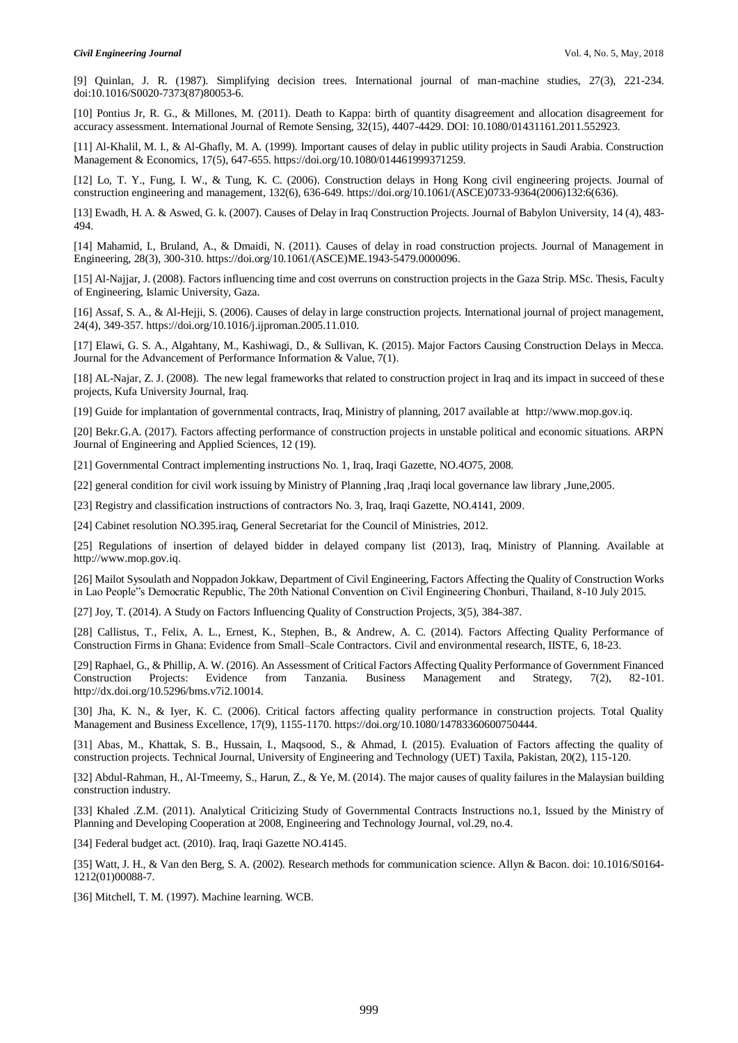[9] Quinlan, J. R. (1987). Simplifying decision trees. International journal of man-machine studies, 27(3), 221-234. doi:10.1016/S0020-7373(87)80053-6.

[10] Pontius Jr, R. G., & Millones, M. (2011). Death to Kappa: birth of quantity disagreement and allocation disagreement for accuracy assessment. International Journal of Remote Sensing, 32(15), 4407-4429. DOI: 10.1080/01431161.2011.552923.

[11] Al-Khalil, M. I., & Al-Ghafly, M. A. (1999). Important causes of delay in public utility projects in Saudi Arabia. Construction Management & Economics, 17(5), 647-655. https://doi.org/10.1080/014461999371259.

[12] Lo, T. Y., Fung, I. W., & Tung, K. C. (2006). Construction delays in Hong Kong civil engineering projects. Journal of construction engineering and management, 132(6), 636-649. https://doi.org/10.1061/(ASCE)0733-9364(2006)132:6(636).

[13] Ewadh, H. A. & Aswed, G. k. (2007). Causes of Delay in Iraq Construction Projects. Journal of Babylon University, 14 (4), 483- 494.

[14] Mahamid, I., Bruland, A., & Dmaidi, N. (2011). Causes of delay in road construction projects. Journal of Management in Engineering, 28(3), 300-310. https://doi.org/10.1061/(ASCE)ME.1943-5479.0000096.

[15] Al-Najjar, J. (2008). Factors influencing time and cost overruns on construction projects in the Gaza Strip. MSc. Thesis, Faculty of Engineering, Islamic University, Gaza.

[16] Assaf, S. A., & Al-Hejji, S. (2006). Causes of delay in large construction projects. International journal of project management, 24(4), 349-357. https://doi.org/10.1016/j.ijproman.2005.11.010.

[17] Elawi, G. S. A., Algahtany, M., Kashiwagi, D., & Sullivan, K. (2015). Major Factors Causing Construction Delays in Mecca. Journal for the Advancement of Performance Information & Value, 7(1).

[18] AL-Najar, Z. J. (2008). The new legal frameworks that related to construction project in Iraq and its impact in succeed of these projects, Kufa University Journal, Iraq.

[19] Guide for implantation of governmental contracts, Iraq, Ministry of planning, 2017 available at [http://www.mop.gov.iq.](http://www.mop.gov.iq/)

[20] Bekr.G.A. (2017). Factors affecting performance of construction projects in unstable political and economic situations. ARPN Journal of Engineering and Applied Sciences, 12 (19).

[21] Governmental Contract implementing instructions No. 1, Iraq, Iraqi Gazette, NO.4O75, 2008.

[22] general condition for civil work issuing by Ministry of Planning ,Iraq ,Iraqi local governance law library ,June,2005.

[23] Registry and classification instructions of contractors No. 3, Iraq, Iraqi Gazette, NO.4141, 2009.

[24] Cabinet resolution NO.395.iraq, General Secretariat for the Council of Ministries, 2012.

[25] Regulations of insertion of delayed bidder in delayed company list (2013), Iraq, Ministry of Planning. Available at http://www.mop.gov.iq.

[26] Mailot Sysoulath and Noppadon Jokkaw, Department of Civil Engineering, Factors Affecting the Quality of Construction Works in Lao People"s Democratic Republic, The 20th National Convention on Civil Engineering Chonburi, Thailand, 8-10 July 2015.

[27] Joy, T. (2014). A Study on Factors Influencing Quality of Construction Projects, 3(5), 384-387.

[28] Callistus, T., Felix, A. L., Ernest, K., Stephen, B., & Andrew, A. C. (2014). Factors Affecting Quality Performance of Construction Firms in Ghana: Evidence from Small–Scale Contractors. Civil and environmental research, IISTE, 6, 18-23.

[29] Raphael, G., & Phillip, A. W. (2016). An Assessment of Critical Factors Affecting Quality Performance of Government Financed Construction Projects: Evidence from Tanzania. Business Management and Strategy, 7(2), 82-101. http://dx.doi.org/10.5296/bms.v7i2.10014.

[30] Jha, K. N., & Iyer, K. C. (2006). Critical factors affecting quality performance in construction projects. Total Quality Management and Business Excellence, 17(9), 1155-1170. https://doi.org/10.1080/14783360600750444.

[31] Abas, M., Khattak, S. B., Hussain, I., Maqsood, S., & Ahmad, I. (2015). Evaluation of Factors affecting the quality of construction projects. Technical Journal, University of Engineering and Technology (UET) Taxila, Pakistan, 20(2), 115-120.

[32] Abdul-Rahman, H., Al-Tmeemy, S., Harun, Z., & Ye, M. (2014). The major causes of quality failures in the Malaysian building construction industry.

[33] Khaled .Z.M. (2011). Analytical Criticizing Study of Governmental Contracts Instructions no.1, Issued by the Ministry of Planning and Developing Cooperation at 2008, Engineering and Technology Journal, vol.29, no.4.

[34] Federal budget act. (2010). Iraq, Iraqi Gazette NO.4145.

[35] Watt, J. H., & Van den Berg, S. A. (2002). Research methods for communication science. Allyn & Bacon. doi: 10.1016/S0164- 1212(01)00088-7.

[36] Mitchell, T. M. (1997). Machine learning. WCB.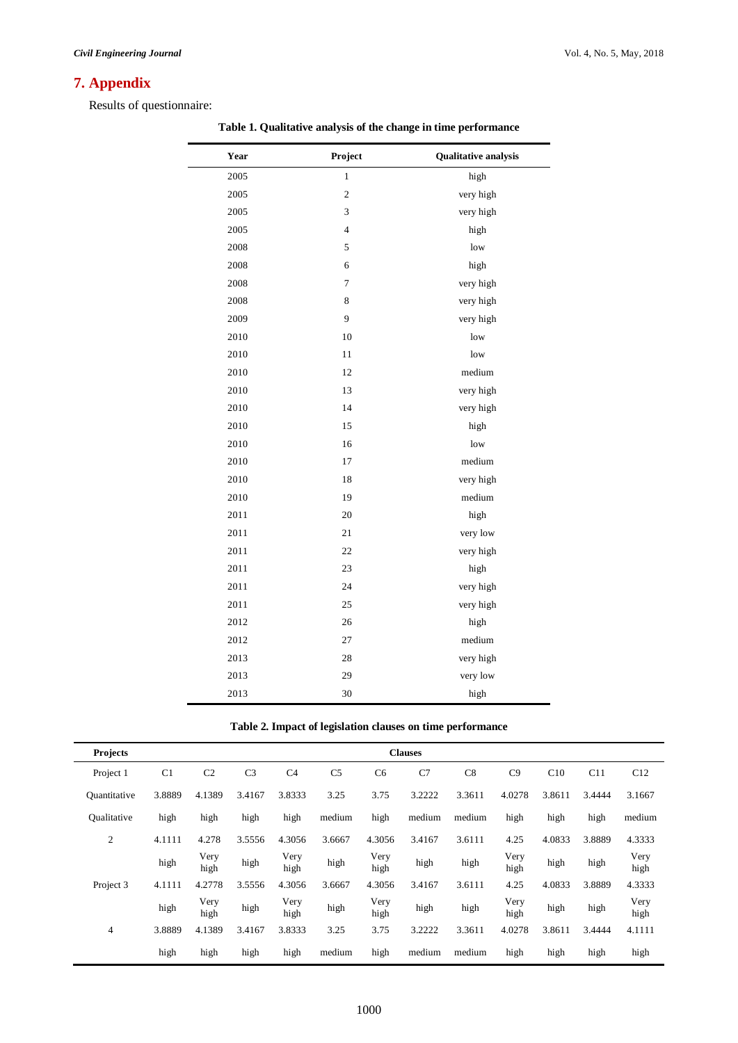# **7. Appendix**

Results of questionnaire:

| Year | Project        | <b>Qualitative analysis</b> |
|------|----------------|-----------------------------|
| 2005 | $\,1$          | high                        |
| 2005 | $\sqrt{2}$     | very high                   |
| 2005 | 3              | very high                   |
| 2005 | $\overline{4}$ | high                        |
| 2008 | 5              | low                         |
| 2008 | 6              |                             |
| 2008 | 7              | high                        |
|      |                | very high                   |
| 2008 | $\,8\,$        | very high                   |
| 2009 | 9              | very high                   |
| 2010 | 10             | low                         |
| 2010 | 11             | low                         |
| 2010 | 12             | medium                      |
| 2010 | 13             | very high                   |
| 2010 | 14             | very high                   |
| 2010 | 15             | high                        |
| 2010 | 16             | low                         |
| 2010 | 17             | medium                      |
| 2010 | $18\,$         | very high                   |
| 2010 | 19             | medium                      |
| 2011 | $20\,$         | high                        |
| 2011 | 21             | very low                    |
| 2011 | 22             | very high                   |
| 2011 | 23             | high                        |
| 2011 | 24             | very high                   |
| 2011 | 25             | very high                   |
| 2012 | 26             | high                        |
| 2012 | 27             | medium                      |
| 2013 | 28             | very high                   |
| 2013 | 29             | very low                    |
| 2013 | 30             | high                        |

**Table 1. Qualitative analysis of the change in time performance**

**Table 2. Impact of legislation clauses on time performance**

| <b>Projects</b>     |                |                |                |                |                |                | <b>Clauses</b> |        |              |        |        |              |
|---------------------|----------------|----------------|----------------|----------------|----------------|----------------|----------------|--------|--------------|--------|--------|--------------|
| Project 1           | C <sub>1</sub> | C <sub>2</sub> | C <sub>3</sub> | C <sub>4</sub> | C <sub>5</sub> | C <sub>6</sub> | C7             | C8     | C9           | C10    | C11    | C12          |
| <b>Quantitative</b> | 3.8889         | 4.1389         | 3.4167         | 3.8333         | 3.25           | 3.75           | 3.2222         | 3.3611 | 4.0278       | 3.8611 | 3.4444 | 3.1667       |
| Oualitative         | high           | high           | high           | high           | medium         | high           | medium         | medium | high         | high   | high   | medium       |
| 2                   | 4.1111         | 4.278          | 3.5556         | 4.3056         | 3.6667         | 4.3056         | 3.4167         | 3.6111 | 4.25         | 4.0833 | 3.8889 | 4.3333       |
|                     | high           | Very<br>high   | high           | Very<br>high   | high           | Very<br>high   | high           | high   | Very<br>high | high   | high   | Very<br>high |
| Project 3           | 4.1111         | 4.2778         | 3.5556         | 4.3056         | 3.6667         | 4.3056         | 3.4167         | 3.6111 | 4.25         | 4.0833 | 3.8889 | 4.3333       |
|                     | high           | Very<br>high   | high           | Very<br>high   | high           | Very<br>high   | high           | high   | Very<br>high | high   | high   | Very<br>high |
| $\overline{4}$      | 3.8889         | 4.1389         | 3.4167         | 3.8333         | 3.25           | 3.75           | 3.2222         | 3.3611 | 4.0278       | 3.8611 | 3.4444 | 4.1111       |
|                     | high           | high           | high           | high           | medium         | high           | medium         | medium | high         | high   | high   | high         |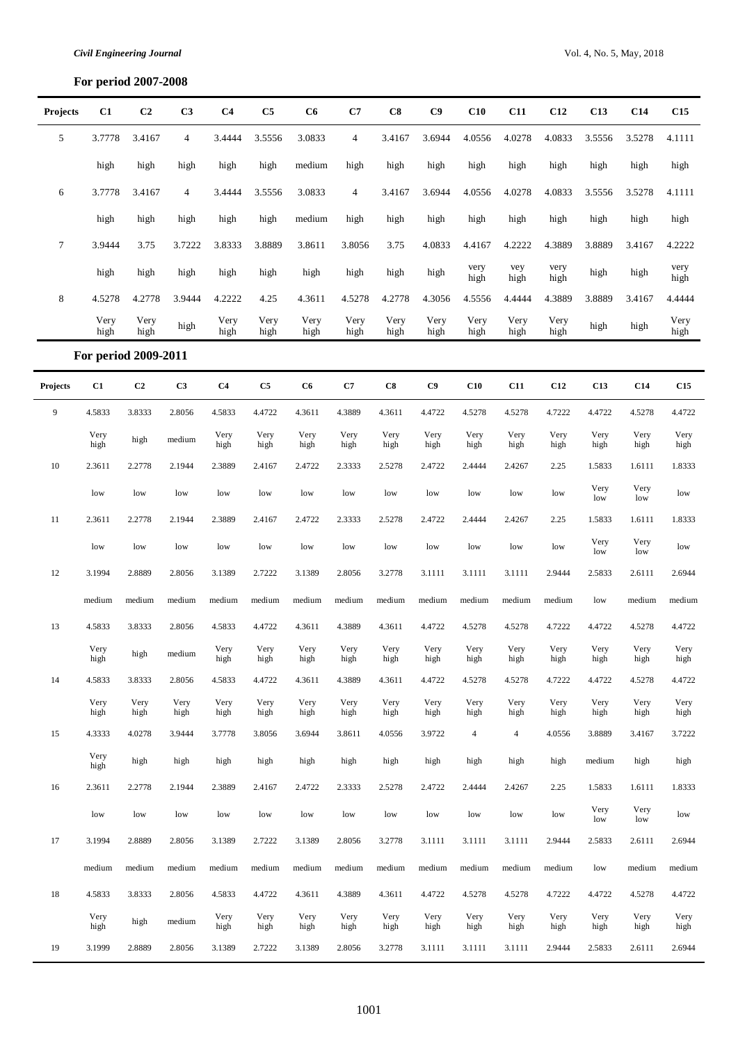# **For period 2007-2008**

| <b>Projects</b> | C1                   | C <sub>2</sub> | C <sub>3</sub> | C <sub>4</sub> | C5           | C6           | C7             | C8           | C9           | C10            | C11            | C12          | C13          | C14          | C15          |
|-----------------|----------------------|----------------|----------------|----------------|--------------|--------------|----------------|--------------|--------------|----------------|----------------|--------------|--------------|--------------|--------------|
| 5               | 3.7778               | 3.4167         | $\overline{4}$ | 3.4444         | 3.5556       | 3.0833       | $\overline{4}$ | 3.4167       | 3.6944       | 4.0556         | 4.0278         | 4.0833       | 3.5556       | 3.5278       | 4.1111       |
|                 | high                 | high           | high           | high           | high         | medium       | high           | high         | high         | high           | high           | high         | high         | high         | high         |
| 6               | 3.7778               | 3.4167         | $\overline{4}$ | 3.4444         | 3.5556       | 3.0833       | $\overline{4}$ | 3.4167       | 3.6944       | 4.0556         | 4.0278         | 4.0833       | 3.5556       | 3.5278       | 4.1111       |
|                 | high                 | high           | high           | high           | high         | medium       | high           | high         | high         | high           | high           | high         | high         | high         | high         |
| $\tau$          | 3.9444               | 3.75           | 3.7222         | 3.8333         | 3.8889       | 3.8611       | 3.8056         | 3.75         | 4.0833       | 4.4167         | 4.2222         | 4.3889       | 3.8889       | 3.4167       | 4.2222       |
|                 | high                 | high           | high           | high           | high         | high         | high           | high         | high         | very<br>high   | vey<br>high    | very<br>high | high         | high         | very<br>high |
| 8               | 4.5278               | 4.2778         | 3.9444         | 4.2222         | 4.25         | 4.3611       | 4.5278         | 4.2778       | 4.3056       | 4.5556         | 4.4444         | 4.3889       | 3.8889       | 3.4167       | 4.4444       |
|                 | Very<br>high         | Very<br>high   | high           | Very<br>high   | Very<br>high | Very<br>high | Very<br>high   | Very<br>high | Very<br>high | Very<br>high   | Very<br>high   | Very<br>high | high         | high         | Very<br>high |
|                 | For period 2009-2011 |                |                |                |              |              |                |              |              |                |                |              |              |              |              |
| Projects        | C1                   | C <sub>2</sub> | C3             | C <sub>4</sub> | C5           | C6           | C7             | C8           | C9           | C10            | C11            | C12          | C13          | C14          | C15          |
| 9               | 4.5833               | 3.8333         | 2.8056         | 4.5833         | 4.4722       | 4.3611       | 4.3889         | 4.3611       | 4.4722       | 4.5278         | 4.5278         | 4.7222       | 4.4722       | 4.5278       | 4.4722       |
|                 | Very<br>high         | high           | medium         | Very<br>high   | Very<br>high | Very<br>high | Very<br>high   | Very<br>high | Very<br>high | Very<br>high   | Very<br>high   | Very<br>high | Very<br>high | Very<br>high | Very<br>high |
| $10\,$          | 2.3611               | 2.2778         | 2.1944         | 2.3889         | 2.4167       | 2.4722       | 2.3333         | 2.5278       | 2.4722       | 2.4444         | 2.4267         | 2.25         | 1.5833       | 1.6111       | 1.8333       |
|                 | low                  | low            | low            | low            | low          | low          | low            | low          | low          | low            | low            | low          | Very<br>low  | Very<br>low  | low          |
| 11              | 2.3611               | 2.2778         | 2.1944         | 2.3889         | 2.4167       | 2.4722       | 2.3333         | 2.5278       | 2.4722       | 2.4444         | 2.4267         | 2.25         | 1.5833       | 1.6111       | 1.8333       |
|                 | low                  | low            | low            | low            | low          | low          | low            | low          | low          | low            | low            | low          | Very<br>low  | Very<br>low  | low          |
| 12              | 3.1994               | 2.8889         | 2.8056         | 3.1389         | 2.7222       | 3.1389       | 2.8056         | 3.2778       | 3.1111       | 3.1111         | 3.1111         | 2.9444       | 2.5833       | 2.6111       | 2.6944       |
|                 | medium               | medium         | medium         | medium         | medium       | medium       | medium         | medium       | medium       | medium         | medium         | medium       | low          | medium       | medium       |
| 13              | 4.5833               | 3.8333         | 2.8056         | 4.5833         | 4.4722       | 4.3611       | 4.3889         | 4.3611       | 4.4722       | 4.5278         | 4.5278         | 4.7222       | 4.4722       | 4.5278       | 4.4722       |
|                 | Very<br>high         | high           | medium         | Very<br>high   | Very<br>high | Very<br>high | Very<br>high   | Very<br>high | Very<br>high | Very<br>high   | Very<br>high   | Very<br>high | Very<br>high | Very<br>high | Very<br>high |
| 14              | 4.5833               | 3.8333         | 2.8056         | 4.5833         | 4.4722       | 4.3611       | 4.3889         | 4.3611       | 4.4722       | 4.5278         | 4.5278         | 4.7222       | 4.4722       | 4.5278       | 4.4722       |
|                 | Very<br>high         | Very<br>high   | Very<br>high   | Very<br>high   | Very<br>high | Very<br>high | Very<br>high   | Very<br>high | Very<br>high | Very<br>high   | Very<br>high   | Very<br>high | Very<br>high | Very<br>high | Very<br>high |
| 15              | 4.3333               | 4.0278         | 3.9444         | 3.7778         | 3.8056       | 3.6944       | 3.8611         | 4.0556       | 3.9722       | $\overline{4}$ | $\overline{4}$ | 4.0556       | 3.8889       | 3.4167       | 3.7222       |
|                 | Very<br>high         | high           | high           | high           | high         | high         | high           | high         | high         | high           | high           | high         | medium       | high         | high         |
| 16              | 2.3611               | 2.2778         | 2.1944         | 2.3889         | 2.4167       | 2.4722       | 2.3333         | 2.5278       | 2.4722       | 2.4444         | 2.4267         | 2.25         | 1.5833       | 1.6111       | 1.8333       |
|                 | low                  | low            | low            | low            | low          | low          | low            | low          | low          | low            | low            | low          | Very<br>low  | Very<br>low  | low          |
| $17\,$          | 3.1994               | 2.8889         | 2.8056         | 3.1389         | 2.7222       | 3.1389       | 2.8056         | 3.2778       | 3.1111       | 3.1111         | 3.1111         | 2.9444       | 2.5833       | 2.6111       | 2.6944       |
|                 | medium               | medium         | medium         | medium         | medium       | medium       | medium         | medium       | medium       | medium         | medium         | medium       | low          | medium       | medium       |
| $18\,$          | 4.5833               | 3.8333         | 2.8056         | 4.5833         | 4.4722       | 4.3611       | 4.3889         | 4.3611       | 4.4722       | 4.5278         | 4.5278         | 4.7222       | 4.4722       | 4.5278       | 4.4722       |
|                 | Very<br>high         | high           | medium         | Very<br>high   | Very<br>high | Very<br>high | Very<br>high   | Very<br>high | Very<br>high | Very<br>high   | Very<br>high   | Very<br>high | Very<br>high | Very<br>high | Very<br>high |
| 19              | 3.1999               | 2.8889         | 2.8056         | 3.1389         | 2.7222       | 3.1389       | 2.8056         | 3.2778       | 3.1111       | 3.1111         | 3.1111         | 2.9444       | 2.5833       | 2.6111       | 2.6944       |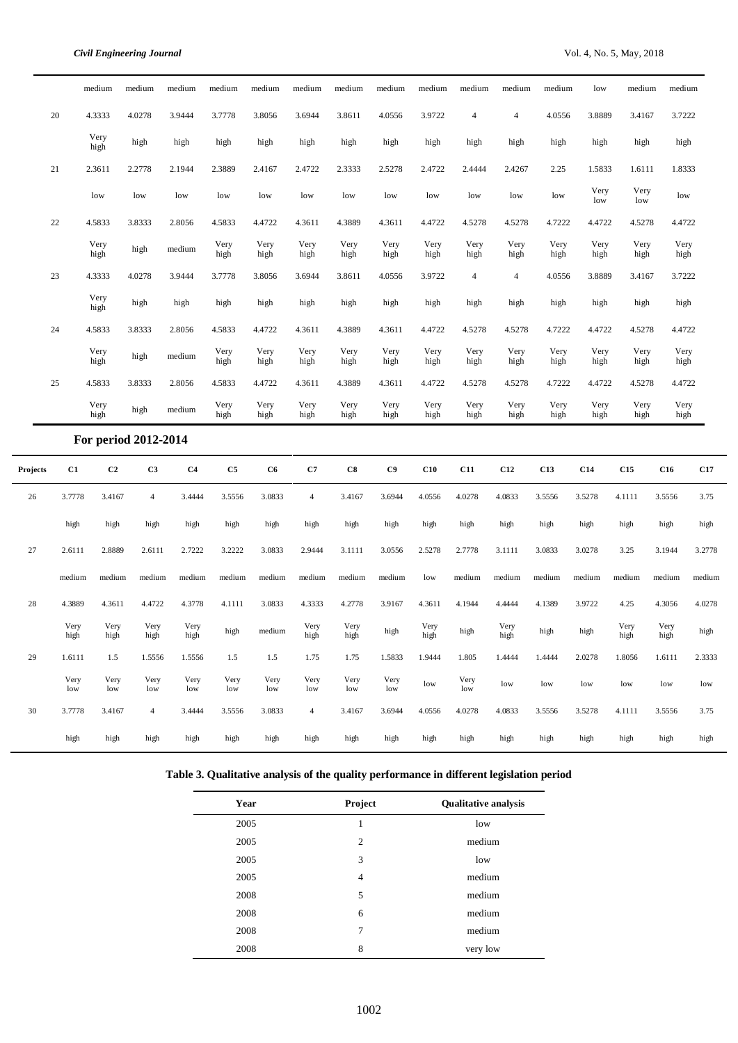L.

|          |              | medium         | medium               | medium         | medium       | medium       | medium         | medium       | medium       | medium       | medium         | medium         | medium       | low          | medium       | medium       |        |
|----------|--------------|----------------|----------------------|----------------|--------------|--------------|----------------|--------------|--------------|--------------|----------------|----------------|--------------|--------------|--------------|--------------|--------|
|          | 20           | 4.3333         | 4.0278               | 3.9444         | 3.7778       | 3.8056       | 3.6944         | 3.8611       | 4.0556       | 3.9722       | $\overline{4}$ | $\overline{4}$ | 4.0556       | 3.8889       | 3.4167       | 3.7222       |        |
|          |              | Very<br>high   | high                 | high           | high         | high         | high           | high         | high         | high         | high           | high           | high         | high         | high         | high         |        |
|          | 21           | 2.3611         | 2.2778               | 2.1944         | 2.3889       | 2.4167       | 2.4722         | 2.3333       | 2.5278       | 2.4722       | 2.4444         | 2.4267         | 2.25         | 1.5833       | 1.6111       | 1.8333       |        |
|          |              | low            | low                  | low            | low          | low          | low            | low          | low          | low          | low            | low            | low          | Very<br>low  | Very<br>low  | low          |        |
|          | $22\,$       | 4.5833         | 3.8333               | 2.8056         | 4.5833       | 4.4722       | 4.3611         | 4.3889       | 4.3611       | 4.4722       | 4.5278         | 4.5278         | 4.7222       | 4.4722       | 4.5278       | 4.4722       |        |
|          |              | Very<br>high   | high                 | medium         | Very<br>high | Very<br>high | Very<br>high   | Very<br>high | Very<br>high | Very<br>high | Very<br>high   | Very<br>high   | Very<br>high | Very<br>high | Very<br>high | Very<br>high |        |
|          | 23           | 4.3333         | 4.0278               | 3.9444         | 3.7778       | 3.8056       | 3.6944         | 3.8611       | 4.0556       | 3.9722       | $\overline{4}$ | $\overline{4}$ | 4.0556       | 3.8889       | 3.4167       | 3.7222       |        |
|          |              | Very<br>high   | high                 | high           | high         | high         | high           | high         | high         | high         | high           | high           | high         | high         | high         | high         |        |
|          | 24           | 4.5833         | 3.8333               | 2.8056         | 4.5833       | 4.4722       | 4.3611         | 4.3889       | 4.3611       | 4.4722       | 4.5278         | 4.5278         | 4.7222       | 4.4722       | 4.5278       | 4.4722       |        |
|          |              | Very<br>high   | high                 | medium         | Very<br>high | Very<br>high | Very<br>high   | Very<br>high | Very<br>high | Very<br>high | Very<br>high   | Very<br>high   | Very<br>high | Very<br>high | Very<br>high | Very<br>high |        |
|          | 25           | 4.5833         | 3.8333               | 2.8056         | 4.5833       | 4.4722       | 4.3611         | 4.3889       | 4.3611       | 4.4722       | 4.5278         | 4.5278         | 4.7222       | 4.4722       | 4.5278       | 4.4722       |        |
|          |              | Very<br>high   | high                 | medium         | Very<br>high | Very<br>high | Very<br>high   | Very<br>high | Very<br>high | Very<br>high | Very<br>high   | Very<br>high   | Very<br>high | Very<br>high | Very<br>high | Very<br>high |        |
|          |              |                | For period 2012-2014 |                |              |              |                |              |              |              |                |                |              |              |              |              |        |
| Projects | C1           | C <sub>2</sub> | C <sub>3</sub>       | C <sub>4</sub> | C5           | C6           | C7             | C8           | C9           | C10          | C11            | C12            | C13          | C14          | C15          | C16          | C17    |
| 26       | 3.7778       | 3.4167         | $\overline{4}$       | 3.4444         | 3.5556       | 3.0833       | $\overline{4}$ | 3.4167       | 3.6944       | 4.0556       | 4.0278         | 4.0833         | 3.5556       | 3.5278       | 4.1111       | 3.5556       | 3.75   |
|          | high         | high           | high                 | high           | high         | high         | high           | high         | high         | high         | high           | high           | high         | high         | high         | high         | high   |
| 27       | 2.6111       | 2.8889         | 2.6111               | 2.7222         | 3.2222       | 3.0833       | 2.9444         | 3.1111       | 3.0556       | 2.5278       | 2.7778         | 3.1111         | 3.0833       | 3.0278       | 3.25         | 3.1944       | 3.2778 |
|          | medium       | medium         | medium               | medium         | medium       | medium       | medium         | medium       | medium       | low          | medium         | medium         | medium       | medium       | medium       | medium       | medium |
| 28       | 4.3889       | 4.3611         | 4.4722               | 4.3778         | 4.1111       | 3.0833       | 4.3333         | 4.2778       | 3.9167       | 4.3611       | 4.1944         | 4.4444         | 4.1389       | 3.9722       | 4.25         | 4.3056       | 4.0278 |
|          | Very<br>high | Very<br>high   | Very<br>high         | Very<br>high   | high         | medium       | Very<br>high   | Very<br>high | high         | Very<br>high | high           | Very<br>high   | high         | high         | Very<br>high | Very<br>high | high   |
| 29       | 1.6111       | 1.5            | 1.5556               | 1.5556         | 1.5          | 1.5          | 1.75           | 1.75         | 1.5833       | 1.9444       | 1.805          | 1.4444         | 1.4444       | 2.0278       | 1.8056       | 1.6111       | 2.3333 |
|          | Very<br>low  | Very<br>low    | Very<br>low          | Very<br>low    | Very<br>low  | Very<br>low  | Very<br>low    | Very<br>low  | Very<br>low  | low          | Very<br>low    | low            | low          | low          | low          | low          | low    |
| 30       | 3.7778       | 3.4167         | $\overline{4}$       | 3.4444         | 3.5556       | 3.0833       | $\overline{4}$ | 3.4167       | 3.6944       | 4.0556       | 4.0278         | 4.0833         | 3.5556       | 3.5278       | 4.1111       | 3.5556       | 3.75   |
|          | high         | high           | high                 | high           | high         | high         | high           | high         | high         | high         | high           | high           | high         | high         | high         | high         | high   |

|  |  | Table 3. Qualitative analysis of the quality performance in different legislation period |  |
|--|--|------------------------------------------------------------------------------------------|--|
|  |  |                                                                                          |  |

| Year | Project        | <b>Qualitative analysis</b> |
|------|----------------|-----------------------------|
| 2005 | 1              | low                         |
| 2005 | $\overline{c}$ | medium                      |
| 2005 | 3              | low                         |
| 2005 | 4              | medium                      |
| 2008 | 5              | medium                      |
| 2008 | 6              | medium                      |
| 2008 | 7              | medium                      |
| 2008 | 8              | very low                    |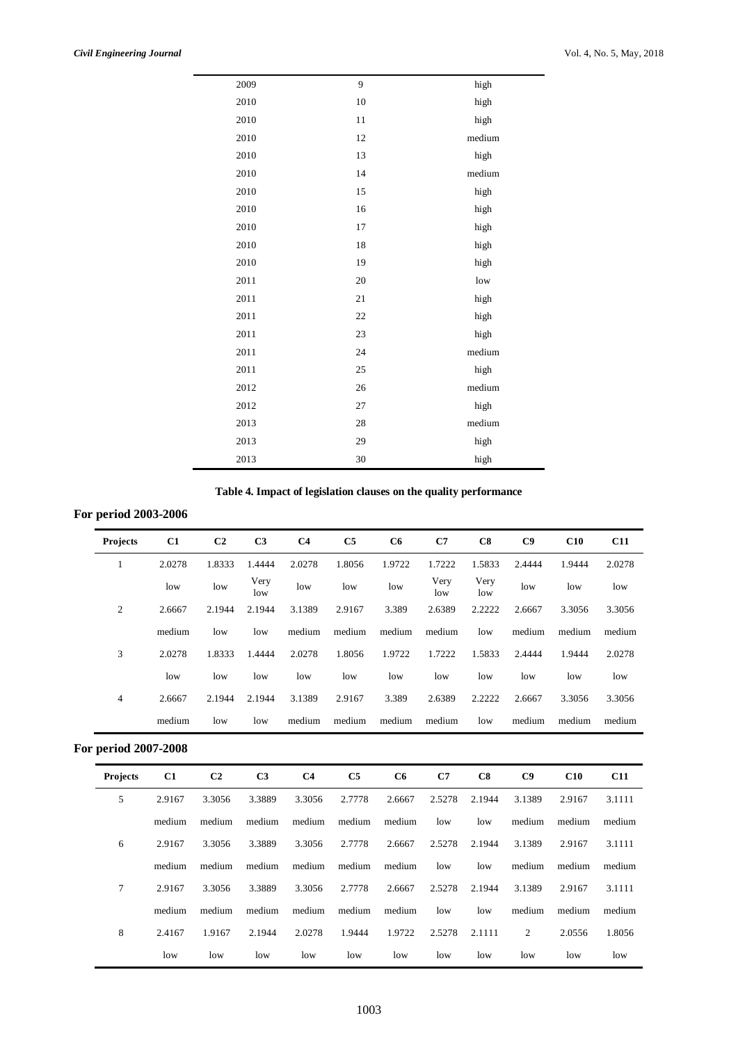| 2010<br>10<br>high<br>2010<br>11<br>high<br>2010<br>medium<br>12<br>2010<br>13<br>high<br>2010<br>14<br>medium<br>2010<br>15<br>high<br>2010<br>16<br>high<br>2010<br>17<br>high<br>2010<br>18<br>high<br>2010<br>19<br>high<br>2011<br>20<br>low<br>2011<br>21<br>high<br>2011<br>22<br>high<br>2011<br>23<br>high<br>2011<br>24<br>medium<br>25<br>2011<br>high<br>26<br>medium<br>2012<br>2012<br>27 | 2009 | 9 | high |
|---------------------------------------------------------------------------------------------------------------------------------------------------------------------------------------------------------------------------------------------------------------------------------------------------------------------------------------------------------------------------------------------------------|------|---|------|
|                                                                                                                                                                                                                                                                                                                                                                                                         |      |   |      |
|                                                                                                                                                                                                                                                                                                                                                                                                         |      |   |      |
|                                                                                                                                                                                                                                                                                                                                                                                                         |      |   |      |
|                                                                                                                                                                                                                                                                                                                                                                                                         |      |   |      |
|                                                                                                                                                                                                                                                                                                                                                                                                         |      |   |      |
|                                                                                                                                                                                                                                                                                                                                                                                                         |      |   |      |
|                                                                                                                                                                                                                                                                                                                                                                                                         |      |   |      |
|                                                                                                                                                                                                                                                                                                                                                                                                         |      |   |      |
|                                                                                                                                                                                                                                                                                                                                                                                                         |      |   |      |
|                                                                                                                                                                                                                                                                                                                                                                                                         |      |   |      |
|                                                                                                                                                                                                                                                                                                                                                                                                         |      |   |      |
|                                                                                                                                                                                                                                                                                                                                                                                                         |      |   |      |
|                                                                                                                                                                                                                                                                                                                                                                                                         |      |   |      |
|                                                                                                                                                                                                                                                                                                                                                                                                         |      |   |      |
|                                                                                                                                                                                                                                                                                                                                                                                                         |      |   |      |
|                                                                                                                                                                                                                                                                                                                                                                                                         |      |   |      |
|                                                                                                                                                                                                                                                                                                                                                                                                         |      |   |      |
|                                                                                                                                                                                                                                                                                                                                                                                                         |      |   |      |
|                                                                                                                                                                                                                                                                                                                                                                                                         |      |   | high |
| 2013<br>28<br>medium                                                                                                                                                                                                                                                                                                                                                                                    |      |   |      |
| 2013<br>29<br>high                                                                                                                                                                                                                                                                                                                                                                                      |      |   |      |
| 2013<br>30<br>high                                                                                                                                                                                                                                                                                                                                                                                      |      |   |      |

|  |  |  |  |  |  | Table 4. Impact of legislation clauses on the quality performance |
|--|--|--|--|--|--|-------------------------------------------------------------------|
|--|--|--|--|--|--|-------------------------------------------------------------------|

# **For period 2003-2006**

| <b>Projects</b>      | C1     | C <sub>2</sub> | C <sub>3</sub> | C <sub>4</sub> | C <sub>5</sub> | C6     | C7          | C8          | C9     | C10    | <b>C11</b> |  |
|----------------------|--------|----------------|----------------|----------------|----------------|--------|-------------|-------------|--------|--------|------------|--|
| 1                    | 2.0278 | 1.8333         | 1.4444         | 2.0278         | 1.8056         | 1.9722 | 1.7222      | 1.5833      | 2.4444 | 1.9444 | 2.0278     |  |
|                      | low    | low            | Very<br>low    | low            | low            | low    | Very<br>low | Very<br>low | low    | low    | low        |  |
| $\mathfrak{2}$       | 2.6667 | 2.1944         | 2.1944         | 3.1389         | 2.9167         | 3.389  | 2.6389      | 2.2222      | 2.6667 | 3.3056 | 3.3056     |  |
|                      | medium | low            | low            | medium         | medium         | medium | medium      | low         | medium | medium | medium     |  |
| 3                    | 2.0278 | 1.8333         | 1.4444         | 2.0278         | 1.8056         | 1.9722 | 1.7222      | 1.5833      | 2.4444 | 1.9444 | 2.0278     |  |
|                      | low    | low            | low            | low            | low            | low    | low         | low         | low    | low    | low        |  |
| 4                    | 2.6667 | 2.1944         | 2.1944         | 3.1389         | 2.9167         | 3.389  | 2.6389      | 2.2222      | 2.6667 | 3.3056 | 3.3056     |  |
|                      | medium | low            | low            | medium         | medium         | medium | medium      | low         | medium | medium | medium     |  |
| For period 2007-2008 |        |                |                |                |                |        |             |             |        |        |            |  |
| <b>Projects</b>      | C1     | C <sub>2</sub> | C <sub>3</sub> | C <sub>4</sub> | C5             | C6     | C7          | C8          | C9     | C10    | <b>C11</b> |  |
|                      |        |                |                |                |                |        |             |             |        |        |            |  |

| 5 | 2.9167 | 3.3056 | 3.3889 | 3.3056 | 2.7778 | 2.6667 | 2.5278 | 2.1944 | 3.1389 | 2.9167 | 3.1111 |
|---|--------|--------|--------|--------|--------|--------|--------|--------|--------|--------|--------|
|   | medium | medium | medium | medium | medium | medium | low    | low    | medium | medium | medium |
| 6 | 2.9167 | 3.3056 | 3.3889 | 3.3056 | 2.7778 | 2.6667 | 2.5278 | 2.1944 | 3.1389 | 2.9167 | 3.1111 |
|   | medium | medium | medium | medium | medium | medium | low    | low    | medium | medium | medium |
| 7 | 2.9167 | 3.3056 | 3.3889 | 3.3056 | 2.7778 | 2.6667 | 2.5278 | 2.1944 | 3.1389 | 2.9167 | 3.1111 |
|   | medium | medium | medium | medium | medium | medium | low    | low    | medium | medium | medium |
| 8 | 2.4167 | 1.9167 | 2.1944 | 2.0278 | 1.9444 | 1.9722 | 2.5278 | 2.1111 | 2      | 2.0556 | 1.8056 |
|   | low    | low    | low    | low    | low    | low    | low    | low    | low    | low    | low    |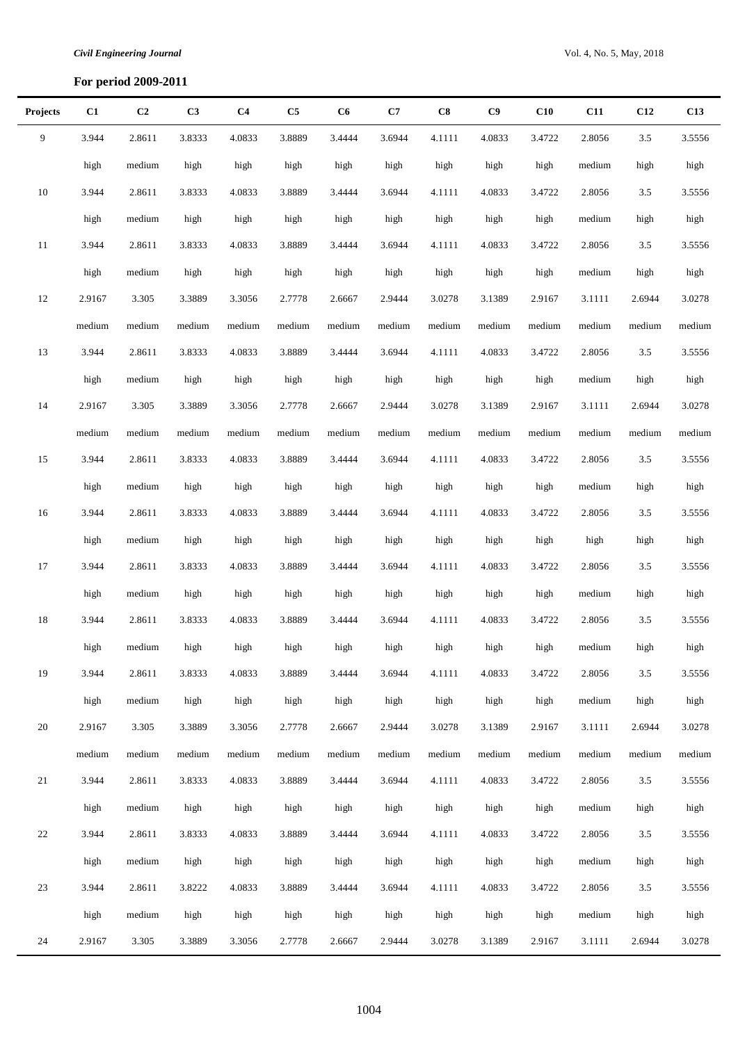# **For period 2009-2011**

| <b>Projects</b> | C1     | C <sub>2</sub> | C <sub>3</sub> | C <sub>4</sub> | C5     | C6     | C7     | C8     | C9     | C10    | <b>C11</b> | C12    | C13    |
|-----------------|--------|----------------|----------------|----------------|--------|--------|--------|--------|--------|--------|------------|--------|--------|
| 9               | 3.944  | 2.8611         | 3.8333         | 4.0833         | 3.8889 | 3.4444 | 3.6944 | 4.1111 | 4.0833 | 3.4722 | 2.8056     | 3.5    | 3.5556 |
|                 | high   | medium         | high           | high           | high   | high   | high   | high   | high   | high   | medium     | high   | high   |
| $10\,$          | 3.944  | 2.8611         | 3.8333         | 4.0833         | 3.8889 | 3.4444 | 3.6944 | 4.1111 | 4.0833 | 3.4722 | 2.8056     | 3.5    | 3.5556 |
|                 | high   | medium         | high           | high           | high   | high   | high   | high   | high   | high   | medium     | high   | high   |
| 11              | 3.944  | 2.8611         | 3.8333         | 4.0833         | 3.8889 | 3.4444 | 3.6944 | 4.1111 | 4.0833 | 3.4722 | 2.8056     | 3.5    | 3.5556 |
|                 | high   | medium         | high           | high           | high   | high   | high   | high   | high   | high   | medium     | high   | high   |
| $12\,$          | 2.9167 | 3.305          | 3.3889         | 3.3056         | 2.7778 | 2.6667 | 2.9444 | 3.0278 | 3.1389 | 2.9167 | 3.1111     | 2.6944 | 3.0278 |
|                 | medium | medium         | medium         | medium         | medium | medium | medium | medium | medium | medium | medium     | medium | medium |
| 13              | 3.944  | 2.8611         | 3.8333         | 4.0833         | 3.8889 | 3.4444 | 3.6944 | 4.1111 | 4.0833 | 3.4722 | 2.8056     | 3.5    | 3.5556 |
|                 | high   | medium         | high           | high           | high   | high   | high   | high   | high   | high   | medium     | high   | high   |
| 14              | 2.9167 | 3.305          | 3.3889         | 3.3056         | 2.7778 | 2.6667 | 2.9444 | 3.0278 | 3.1389 | 2.9167 | 3.1111     | 2.6944 | 3.0278 |
|                 | medium | medium         | medium         | medium         | medium | medium | medium | medium | medium | medium | medium     | medium | medium |
| 15              | 3.944  | 2.8611         | 3.8333         | 4.0833         | 3.8889 | 3.4444 | 3.6944 | 4.1111 | 4.0833 | 3.4722 | 2.8056     | 3.5    | 3.5556 |
|                 | high   | medium         | high           | high           | high   | high   | high   | high   | high   | high   | medium     | high   | high   |
| 16              | 3.944  | 2.8611         | 3.8333         | 4.0833         | 3.8889 | 3.4444 | 3.6944 | 4.1111 | 4.0833 | 3.4722 | 2.8056     | 3.5    | 3.5556 |
|                 | high   | medium         | high           | high           | high   | high   | high   | high   | high   | high   | high       | high   | high   |
| 17              | 3.944  | 2.8611         | 3.8333         | 4.0833         | 3.8889 | 3.4444 | 3.6944 | 4.1111 | 4.0833 | 3.4722 | 2.8056     | 3.5    | 3.5556 |
|                 | high   | medium         | high           | high           | high   | high   | high   | high   | high   | high   | medium     | high   | high   |
| 18              | 3.944  | 2.8611         | 3.8333         | 4.0833         | 3.8889 | 3.4444 | 3.6944 | 4.1111 | 4.0833 | 3.4722 | 2.8056     | 3.5    | 3.5556 |
|                 | high   | medium         | high           | high           | high   | high   | high   | high   | high   | high   | medium     | high   | high   |
| 19              | 3.944  | 2.8611         | 3.8333         | 4.0833         | 3.8889 | 3.4444 | 3.6944 | 4.1111 | 4.0833 | 3.4722 | 2.8056     | 3.5    | 3.5556 |
|                 | high   | medium         | high           | high           | high   | high   | high   | high   | high   | high   | medium     | high   | high   |
| 20              | 2.9167 | 3.305          | 3.3889         | 3.3056         | 2.7778 | 2.6667 | 2.9444 | 3.0278 | 3.1389 | 2.9167 | 3.1111     | 2.6944 | 3.0278 |
|                 | medium | medium         | medium         | medium         | medium | medium | medium | medium | medium | medium | medium     | medium | medium |
| 21              | 3.944  | 2.8611         | 3.8333         | 4.0833         | 3.8889 | 3.4444 | 3.6944 | 4.1111 | 4.0833 | 3.4722 | 2.8056     | 3.5    | 3.5556 |
|                 | high   | medium         | high           | high           | high   | high   | high   | high   | high   | high   | medium     | high   | high   |
| 22              | 3.944  | 2.8611         | 3.8333         | 4.0833         | 3.8889 | 3.4444 | 3.6944 | 4.1111 | 4.0833 | 3.4722 | 2.8056     | 3.5    | 3.5556 |
|                 | high   | medium         | high           | high           | high   | high   | high   | high   | high   | high   | medium     | high   | high   |
| 23              | 3.944  | 2.8611         | 3.8222         | 4.0833         | 3.8889 | 3.4444 | 3.6944 | 4.1111 | 4.0833 | 3.4722 | 2.8056     | 3.5    | 3.5556 |
|                 | high   | medium         | high           | high           | high   | high   | high   | high   | high   | high   | medium     | high   | high   |
| 24              | 2.9167 | 3.305          | 3.3889         | 3.3056         | 2.7778 | 2.6667 | 2.9444 | 3.0278 | 3.1389 | 2.9167 | 3.1111     | 2.6944 | 3.0278 |